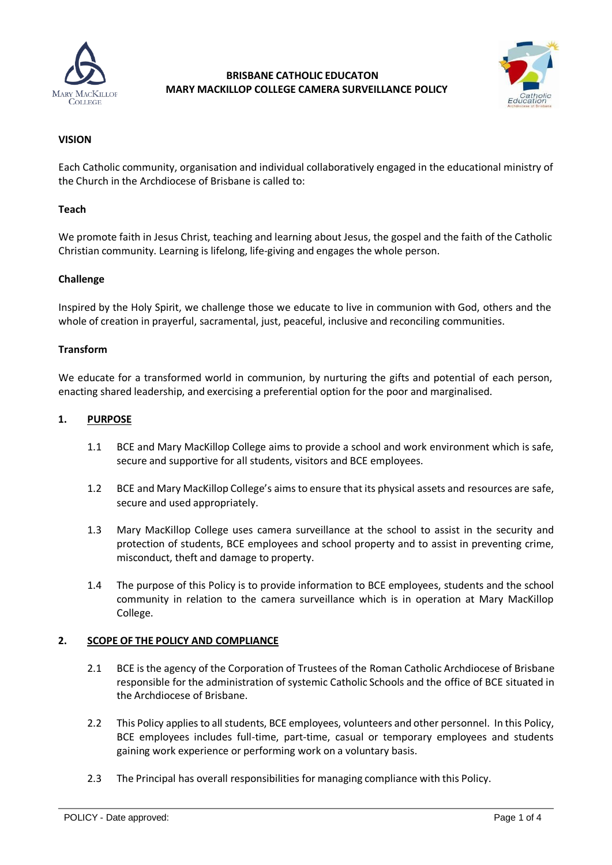

**BRISBANE CATHOLIC EDUCATON MARY MACKILLOP COLLEGE CAMERA SURVEILLANCE POLICY**



### **VISION**

Each Catholic community, organisation and individual collaboratively engaged in the educational ministry of the Church in the Archdiocese of Brisbane is called to:

### **Teach**

We promote faith in Jesus Christ, teaching and learning about Jesus, the gospel and the faith of the Catholic Christian community. Learning is lifelong, life-giving and engages the whole person.

# **Challenge**

Inspired by the Holy Spirit, we challenge those we educate to live in communion with God, others and the whole of creation in prayerful, sacramental, just, peaceful, inclusive and reconciling communities.

### **Transform**

We educate for a transformed world in communion, by nurturing the gifts and potential of each person, enacting shared leadership, and exercising a preferential option for the poor and marginalised.

### **1. PURPOSE**

- 1.1 BCE and Mary MacKillop College aims to provide a school and work environment which is safe, secure and supportive for all students, visitors and BCE employees.
- 1.2 BCE and Mary MacKillop College's aims to ensure that its physical assets and resources are safe, secure and used appropriately.
- 1.3 Mary MacKillop College uses camera surveillance at the school to assist in the security and protection of students, BCE employees and school property and to assist in preventing crime, misconduct, theft and damage to property.
- 1.4 The purpose of this Policy is to provide information to BCE employees, students and the school community in relation to the camera surveillance which is in operation at Mary MacKillop College.

### **2. SCOPE OF THE POLICY AND COMPLIANCE**

- 2.1 BCE is the agency of the Corporation of Trustees of the Roman Catholic Archdiocese of Brisbane responsible for the administration of systemic Catholic Schools and the office of BCE situated in the Archdiocese of Brisbane.
- 2.2 This Policy applies to all students, BCE employees, volunteers and other personnel. In this Policy, BCE employees includes full-time, part-time, casual or temporary employees and students gaining work experience or performing work on a voluntary basis.
- 2.3 The Principal has overall responsibilities for managing compliance with this Policy.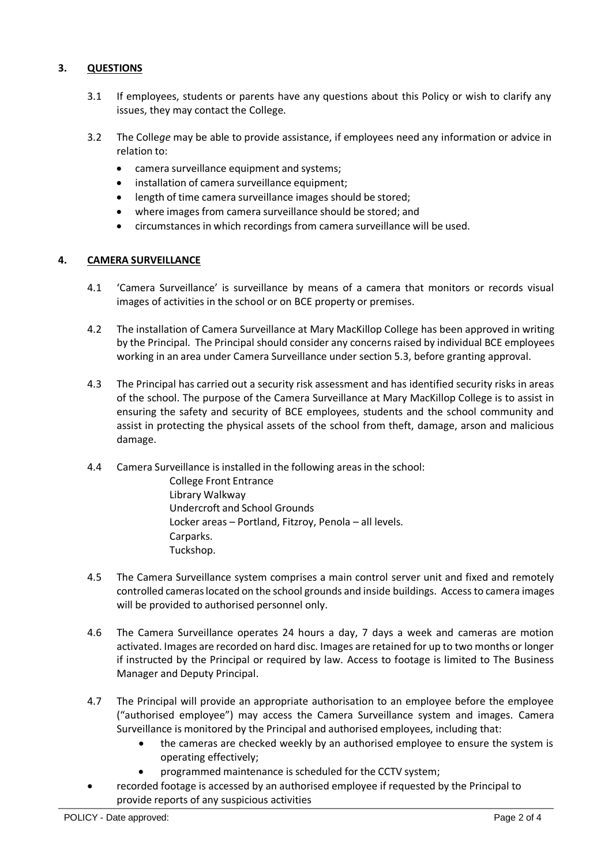# **3. QUESTIONS**

- 3.1 If employees, students or parents have any questions about this Policy or wish to clarify any issues, they may contact the College.
- 3.2 The Colle*ge* may be able to provide assistance, if employees need any information or advice in relation to:
	- camera surveillance equipment and systems;
	- installation of camera surveillance equipment;
	- length of time camera surveillance images should be stored;
	- where images from camera surveillance should be stored; and
	- circumstances in which recordings from camera surveillance will be used.

# **4. CAMERA SURVEILLANCE**

- 4.1 'Camera Surveillance' is surveillance by means of a camera that monitors or records visual images of activities in the school or on BCE property or premises.
- 4.2 The installation of Camera Surveillance at Mary MacKillop College has been approved in writing by the Principal. The Principal should consider any concerns raised by individual BCE employees working in an area under Camera Surveillance under section 5.3, before granting approval.
- 4.3 The Principal has carried out a security risk assessment and has identified security risks in areas of the school. The purpose of the Camera Surveillance at Mary MacKillop College is to assist in ensuring the safety and security of BCE employees, students and the school community and assist in protecting the physical assets of the school from theft, damage, arson and malicious damage.
- 4.4 Camera Surveillance is installed in the following areas in the school:
	- College Front Entrance Library Walkway Undercroft and School Grounds Locker areas – Portland, Fitzroy, Penola – all levels. Carparks. Tuckshop.
- 4.5 The Camera Surveillance system comprises a main control server unit and fixed and remotely controlled cameraslocated on the school grounds and inside buildings. Access to camera images will be provided to authorised personnel only.
- 4.6 The Camera Surveillance operates 24 hours a day, 7 days a week and cameras are motion activated. Images are recorded on hard disc. Images are retained for up to two months or longer if instructed by the Principal or required by law. Access to footage is limited to The Business Manager and Deputy Principal.
- 4.7 The Principal will provide an appropriate authorisation to an employee before the employee ("authorised employee") may access the Camera Surveillance system and images. Camera Surveillance is monitored by the Principal and authorised employees, including that:
	- the cameras are checked weekly by an authorised employee to ensure the system is operating effectively;
	- programmed maintenance is scheduled for the CCTV system;
- recorded footage is accessed by an authorised employee if requested by the Principal to provide reports of any suspicious activities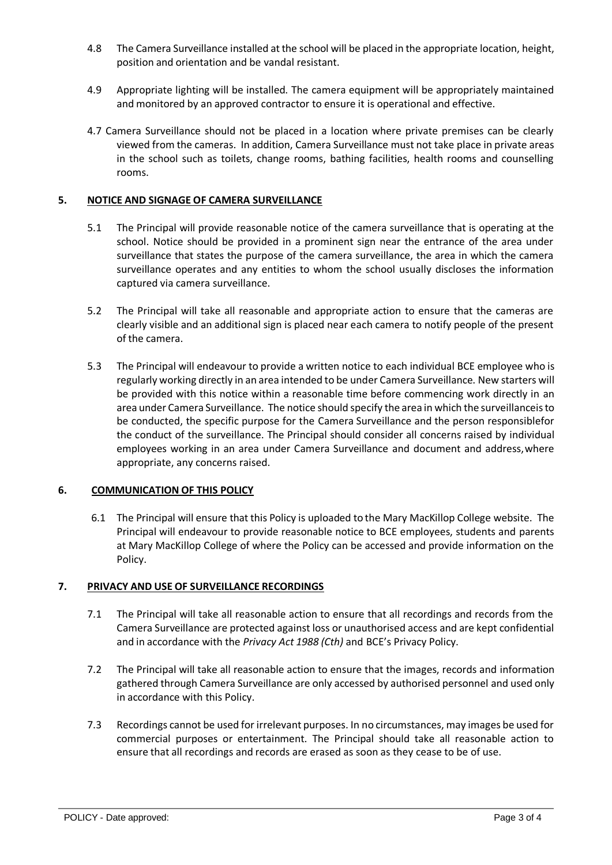- 4.8 The Camera Surveillance installed at the school will be placed in the appropriate location, height, position and orientation and be vandal resistant.
- 4.9 Appropriate lighting will be installed. The camera equipment will be appropriately maintained and monitored by an approved contractor to ensure it is operational and effective.
- 4.7 Camera Surveillance should not be placed in a location where private premises can be clearly viewed from the cameras. In addition, Camera Surveillance must not take place in private areas in the school such as toilets, change rooms, bathing facilities, health rooms and counselling rooms.

### **5. NOTICE AND SIGNAGE OF CAMERA SURVEILLANCE**

- 5.1 The Principal will provide reasonable notice of the camera surveillance that is operating at the school. Notice should be provided in a prominent sign near the entrance of the area under surveillance that states the purpose of the camera surveillance, the area in which the camera surveillance operates and any entities to whom the school usually discloses the information captured via camera surveillance.
- 5.2 The Principal will take all reasonable and appropriate action to ensure that the cameras are clearly visible and an additional sign is placed near each camera to notify people of the present of the camera.
- 5.3 The Principal will endeavour to provide a written notice to each individual BCE employee who is regularly working directly in an area intended to be under Camera Surveillance. New starters will be provided with this notice within a reasonable time before commencing work directly in an area under Camera Surveillance. The notice should specify the area in which the surveillanceisto be conducted, the specific purpose for the Camera Surveillance and the person responsiblefor the conduct of the surveillance. The Principal should consider all concerns raised by individual employees working in an area under Camera Surveillance and document and address,where appropriate, any concerns raised.

# **6. COMMUNICATION OF THIS POLICY**

6.1 The Principal will ensure that this Policy is uploaded to the Mary MacKillop College website. The Principal will endeavour to provide reasonable notice to BCE employees, students and parents at Mary MacKillop College of where the Policy can be accessed and provide information on the Policy.

### **7. PRIVACY AND USE OF SURVEILLANCE RECORDINGS**

- 7.1 The Principal will take all reasonable action to ensure that all recordings and records from the Camera Surveillance are protected against loss or unauthorised access and are kept confidential and in accordance with the *Privacy Act 1988 (Cth)* and BCE's Privacy Policy.
- 7.2 The Principal will take all reasonable action to ensure that the images, records and information gathered through Camera Surveillance are only accessed by authorised personnel and used only in accordance with this Policy.
- 7.3 Recordings cannot be used for irrelevant purposes. In no circumstances, may images be used for commercial purposes or entertainment. The Principal should take all reasonable action to ensure that all recordings and records are erased as soon as they cease to be of use.